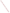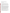## **AGENCY:** ENVIRONMENTAL PROTECTION AGENCY (EPA)

# **TITLE:** "BEIJING DIESEL RETROFIT PILOT PROGRAM"

**ACTION:** Request for Applications (RFA) - Initial Announcement.

## **RFA NO: OAR-CCD-05-06**

### **CATALOG OF FEDERAL DOMESTIC ASSISTANCE (CFDA) NO:** 66.034

**DATES:** The closing date for receipt of applications is April 29, 2005. All applications, however transmitted, must be received by the closing date to receive consideration

To allow for efficient management of the competitive process, EPA requests eligible organizations submit an informal notice of "Intent to Apply" by April 15, 2005. Submission of an Intent to Apply is optional; it is a process management tool that will allow EPA to better anticipate the total staff time required for efficient review, evaluation, and selection of submitted proposals. Eligible entities not submitting an Intent to Apply are still eligible to apply by the closing date.

**SUMMARY:** This notice announces the availability of funds and solicits applications from eligible organizations to propose a project that demonstrates installation and use of diesel retrofit technology designed to reduce pollution from a heavy-duty diesel bus or truck fleet in Beijing, through the use of EPA verified or CARB (California Air Resources Board) certified pollution reduction retrofit technology and low-sulfur diesel fuel. The project may investigate the costs and in-use effectiveness of diesel retrofit technologies under Chinese operating conditions. The goals of the demonstration project are to: (1) demonstrate the in-use effectiveness of EPA verified or CARB certified diesel retrofit technologies, including but not limited to diesel particulate filters, diesel oxidation catalysts, and low sulfur diesel fuel, on Chinese heavy-duty diesel vehicles under Chinese operating conditions; (2) develop quantitative information on costs and emissions reductions of retrofit technologies in China for dissemination to Chinese and international stakeholders; (3) develop a program appropriate for China that can be replicated to retrofit other fleets in China (and in other countries); and (4) build technical capacity in China to implement such a program by working in close collaboration with Chinese partners during this project.

**FUNDING/AWARDS:** It is anticipated that the total amount of funds available for this solicitation is \$200,000. EPA anticipates award of one cooperative agreement resulting from this announcement. EPA encourages coalitions or partnerships to collaborate in submitting one application and carrying out the project. While no cost share is required, EPA would encourage the recipient to leverage federal dollars by negotiating reductions in cost of goods and services needed to complete the project, for example, retrofit technology.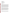#### **CONTENTS BY SECTION**

- I. Funding Opportunity Description
- II. Award Information
- III. Eligibility Information
- IV. Application and Submission Information
- V. Application Review Information
- VI. Award Administration Information
- VII. Agency Contact
- VIII. Other Information

### **I. Funding Opportunity Description**

#### **A. Background.**

EPA is soliciting applications for a cooperative agreement to assist the government of China and the City of Beijing to reduce air pollution from heavy-duty diesel vehicles through a pilot demonstration project, which will use EPA verified or CARB certified pollution reduction devices<sup>1</sup> operating on diesel fuel with the appropriate sulfur content. EPA recognizes that China may encounter a variety of obstacles to developing and carrying out successful projects to reduce pollution caused by existing heavy duty diesel vehicles. Through this solicitation, EPA seeks to support efforts to demonstrate diesel retrofits in Beijing and to compile information about ways to overcome any structural, organizational, or technical challenges that may arise in implementing a broader project to reduce pollution from heavy duty diesel vehicles, including information regarding the effectiveness of verified or certified technology on a range of diesel engine types and model years operating in a variety of conditions. The results of this case study will be made available to all stakeholders interested in pursuing similar projects.

Uncontrolled diesel exhaust has health implications for everyone. Fortunately, diesel emissions can be significantly reduced through the installation and proper use of pollution control technologies retrofitted on existing diesel vehicles. The technologies are available now and the benefits are immediate. Demonstrating successful approaches to reducing pollution from heavy-duty diesel vehicles in China will provide an important tool for China as it moves to implement similar cleaner diesel projects, particularly with the upcoming 2008 Beijing Olympic Games. EPA's Office of Transportation and Air Quality (OTAQ) and Office of International Affairs (OIA) are working with the government of China – the State Environmental Protection Agency (SEPA) and the local government of Beijing Environmental Protection Bureau (EPB) – to assist China in demonstrating diesel retrofits in Beijing, an activity that supports the goals of the Partnership for Clean Fuels and Vehicles<sup>2</sup> (Partnership).

 $\overline{a}$ 

 $1$  EPA's verification process evaluates retrofit technologies under a range of conditions and quantifies the percent reduction in emissions that the technology achieves. The verification process also identifies engine operating criteria and conditions that must exist for these technologies to achieve the certified reductions. A list of verified or certified technologies is available at: http://www.epa.gov/otaq/retrofit/retroverifiedlist.htm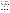Air pollution in Beijing as in many other cities in developing countries is a serious public health problem. According to the World Health Organization, only 15% of the largest cities in developing countries have acceptable air quality. Poor air quality is related to millions of deaths and respiratory problems around the world each year. Because older diesel vehicles emit significant quantities of air pollutants, including particulates and ozone precursors, retrofitting them with emission control devices in conjunction with the use of low sulfur diesel can achieve immediate emission reductions and help improve air quality.

The Beijing demonstration project will be modeled on the successes and experience of EPA's domestic programs, including the Voluntary Diesel Retrofit Program<sup>3</sup> (VDRP) and Clean School Bus USA. VDRP was launched in 2000 to address the harmful emissions from the current U.S. diesel fleet through the use of innovative technologies. As part of the VDRP, a technology verification process was established to review, test, and approve the emission reduction potential of various after-market pollution control technologies. In order to increase the likelihood for success, the Beijing demonstration project will use technologies on EPA's Verified Technology List or CARB certified technologies. In addition, the Beijing program will build on and learn from EPA-sponsored international diesel retrofit programs, including the Mexico City Diesel Retrofit program, which is well underway, and the programs just getting started in Bangkok, Thailand, Santiago, Chile, and Pune, India. For more information on the Mexico City program, the website i[s www.cts-ceiba.org.](http://www.cts-ceiba.org)

#### **B. EPA Strategic Plan Linkage and Anticipated Outcomes/Outputs**.

<sup>1</sup>*. Linkage to EPA Strategic Plan.* This action relates to EPA's Strategic Plan Goal 1 for Clean Air and Global Climate Change and Sub-objective 1 for Healthier Outdoor Air. Goal 1.1 aims to protect and improve the air, so it is healthy to breathe and risks to human health and the environment are reduced. This goal will be met by promoting capacitybuilding programs that include technical assistance, training, technology transfer, and other strategies to enhance the capabilities of governments and other stakeholders to protect human health and the environment regionally and globally.

2. *Outcomes.* The expected outcomes of this action include (1) develop policy options for Beijing for reducing diesel emissions from heavy-duty diesel vehicles; (2) provide a framework from which to replicate the diesel retrofit pilot project to other fleets and other cities in China; (3) document quantitative information on the cost and benefits of the diesel

 $\frac{1}{2}$ <sup>2</sup> The Partnership was established at the World Summit on Sustainable Development in September 2002 to reduce vehicular air pollution in developing countries through the promotion of clean fuels and vehicles. For additional information, see the Partnership for Clean Fuels and Vehicles web site, http://www.unep.org/pcfv/main/Main.htm

 $3$  VDRP is helping to reduce emissions from the current diesel fleet. EPA has promulgated new regulations, known as the Heavy-Duty Diesel Rule that will apply only to 2007 and later model year highway diesel engines and requires that these newly manufactured diesel engines meet the most stringent emission standards. The new regulation also mandates the use of ULSD starting in mid-2006. A new heavy-duty vehicle under 2007 standards will be up to 95 percent cleaner than today's vehicle. Pre-2007 diesel vehicles are not required to meet these new standards. VDRP is helping to bring the existing diesel vehicles closer to the stricter emissions standards that will be required for new engines in 2007. For additional information, see http://www.epa.gov/otaq/retrofit.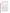retrofit pilot project; and (4) develop a final case study report in Chinese and English with a summary of the project, specifications of technologies and fuel used, detailed description of the demonstration fleet, summary of emissions testing procedures and emissions reductions achieved, cost analyses, problems, successes, and lessons learned.

*3. Outputs.* Performance measures for this action will be the number of vehicles retrofitted, percentage of emissions reductions, number of Chinese SEPA, Beijing EPB, and other stakeholder staff trained. The targets for these measures are 20-30 vehicles retrofitted and a 50-80% reduction in emissions, and 20 Chinese staff trained in the use and maintenance of retrofit technologies.

### **C. Scope of Work**.

The purpose of this solicitation is to demonstrate diesel retrofits in Beijing that will serve as a case study for the government of China and other stakeholders seeking to develop similar emission reduction programs. The selected applicant will develop the project with Chinese and U.S. counterparts.

The fleet subject to retrofit will most likely be a bus or truck fleet based in Beijing. The project should investigate and compare the costs and effectiveness of retrofitting with diesel particulate filters and diesel oxidation catalysts, or other EPA-verified retrofit technologies or CARB certified technologies, and low sulfur diesel fuel. The effectiveness of these technologies and fuel should be demonstrated on vehicles representing a wide range of model years.

The goals of the demonstration project are to: (1) demonstrate the in-use effectiveness of EPA verified diesel retrofit technologies or CARB certified technologies, including but not limited to diesel particulate filters, diesel oxidation catalysts, and low sulfur diesel fuel, on Chinese heavy-duty diesel vehicles under Chinese operating conditions; (2) develop quantitative information on costs and emissions reductions of retrofit technologies in China for dissemination to Chinese and Partnership stakeholders; (3) develop a program appropriate for China that can be replicated to retrofit other fleets in China (and in other countries); (4) build technical capacity in China to implement such a program by working in close collaboration with Chinese partners during this project; and (5) develop policy options for reducing diesel emissions in Beijing.

Applicants must be willing to work cooperatively with EPA, SEPA, Beijing EPB, and other potential partners to achieve the goals listed above and to organize, facilitate, and oversee the range of activities required in the demonstration project. The applicant must also be willing to work very closely with Beijing Environmental Protection Bureau (EPB) and its staff on the planning and demonstration of the retrofits, and provide hands-on technical advice and assistance. The applicant must also be able to provide the technical assistance in Beijing throughout the demonstration project. The type of activities associated with the demonstration project may include, but are not limited to, the following. It is within EPA's discretion which of the following project types will ultimately receive funding.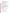- 1. Identify and characterize the fleet for the project.
- 2. Select appropriate vehicles within the fleet and retrofit technologies for the project.
- 3. Procure appropriate low sulfur diesel fuel for the duration of the project.
- 4. Develop emissions testing protocols and calculate baseline emissions.
- 5. Procure and install retrofit technologies.
- 6. Measure emissions reductions from retrofit technologies and analyze emissions data. (Actual emissions testing with on-board testing equipment may be conducted by either the applicant or a project partner.)
- 7. Provide training for Chinese staff, including SEPA, Beijing EPB, the Beijing Fleet Company and potentially other stakeholders.
- 8. Monitor vehicle performance, maintenance and refueling.
- 9. Develop public outreach materials.
- 10. Document the costs of the project.
- 11. Develop policy options for Beijing for reducing diesel emissions from heavy-duty diesel vehicles.
- 12. Develop a case study report in Chinese and English for the project.
- 13. Facilitate and serve as Secretariat for Technical Advisory Group.
- 14. Facilitate continued collaboration between SEPA and Beijing EPB.

Applicants are advised that retrofit devices involved in this project must be verified or certified technologies through EPA's VDRP, the California Air Resources Board verification program, or another EPA certification program. EPA expects the participating fleet owner to pay for a portion of the low sulfur diesel costs, equivalent to the cost of regular diesel fuel required for normal operation of vehicles in the pilot project for the duration of the pilot project. EPA funds can be used toward the incremental costs of low sulfur diesel procurement, including delivery and storage if applicable. A list of EPA verified or certified technologies is available at[: http://www.epa.gov/otaq/retrofit/retroverifiedlist.htm.](http://www.epa.gov/otaq/retrofit/retroverifiedlist.htm) A list of CARB certified technologies is available at: <http://www.arb.ca.gov/diesel/verdev/verdev.htm>

#### **D. Supplementary Information**

The statutory authority for this action is Clean Air Act, Section 103(b) which authorizes the award of grants for research, investigations, experiments, demonstrations, surveys, and studies relating to the causes, effect, extent, prevention and control of air pollution.

### **II. Award Information**

### **A. What is the amount of funding available?**

The total funding for this project is estimated to be \$200,000.

### **B. How many agreements will EPA award in this competition?**

EPA anticipates award of one cooperative agreement resulting from this announcement, subject to availability of funds and the quality of applications submitted.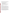Cooperative agreements permit substantial involvement between the EPA Project Officer and the selected applicants in the performance of the work supported. Although EPA will negotiate precise terms and conditions relating to substantial involvement as part of the award process, the anticipated substantial Federal involvement for this project will be:

- 1. close monitoring of the successful applicant's performance;
- 2. collaboration during the performance of the scope of work;
- 3. approving substantive terms of proposed contracts;
- 4. approving qualifications of key personnel (EPA will not select employees or contractors employed by the recipient.);
- 5. review and comment on reports prepared under the cooperative agreement (The final decision on the content of reports rests with the recipient.);
- 6. approving quality assurance plans for collecting and assessing data, if warranted.

### **C. What is the project period for award(s) resulting from this solicitation?**

The estimated project period for award(s) resulting from this solicitation is September 2005 through September 2007.

### **D. Can funding be used to acquire services or fund partnerships?**

Funding may be used to acquire services or fund partnerships, provided the recipient follows procurement and subaward or subgrant procedures contained in 40 [CFR](http://www.gpoaccess.gov/cfr/retrieve.html) Parts 30 or 31, as applicable. Successful applicants must compete contracts for services and products and conduct cost and price analyses to the extent required by these regulations. The regulations also contain limitations on consultant compensation. Applicants are not required to identify contractors or consultants in their proposal. Moreover, the fact that a successful applicant has named a specific contractor or consultant in the proposal EPA approves does not relieve it of its obligations to comply with competitive procurement requirements.

EPA encourages applicants to form partnerships. Sub-grants or sub-awards may be used to fund partnerships with non-profit organizations and governmental entities. Successful applicants cannot use subgrants or subawards to avoid requirements in EPA grant regulations for competitive procurement by using these instruments to acquire commercial services or products to carry out its cooperative agreement. The nature of the transaction between the recipient and the subgrantee must be consistent with the standards for distinguishing between vendor transactions and subrecipient assistance under Subpart B Section .210 of [OMB](http://www.whitehouse.gov/omb/circulars/a133/a133.html)  [Circular A-133,](http://www.whitehouse.gov/omb/circulars/a133/a133.html) and the definitions of "subaward" at 40 CFR 30.2(ff) or "subgrant" at 40 CFR 31.3, as applicable. EPA will not be a party to these transactions.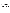### **III. Eligibility Information**

#### **A. Eligible Entities**.

Applications will be accepted from states, territories, Indian Tribes, and possessions of the U.S., including the District of Columbia, public and private universities and colleges, hospitals, laboratories, other public or private nonprofit institutions, as defined by [OMB](http://www.whitehouse.gov/omb/circulars/a110/a110.html)  [Circular A-110](http://www.whitehouse.gov/omb/circulars/a110/a110.html) and [OMB Circular A-122.](http://www.whitehouse.gov/omb/circulars/a122/a122.html) 

Non-profit organization, as defined by OMB Circular A-122, means any corporation, trust, association, cooperative, or other organization which: (1) is operated primarily for scientific, educational, service, charitable, or similar purposes in the public interest; (2) is not organized primarily for profit; and (3) uses its net proceeds to maintain, improve, and/or expand its operations. For this purpose, the term "non-profit organization" excludes (i) colleges and universities; (ii) hospitals; (iii) State, local, and federally-recognized Indian tribal governments; and (iv) those non-profit organizations which are excluded from coverage of this Circular in accordance with paragraph 5 of the Circular.

Non-profit organizations described in Section 501c(4) of the Internal Revenue Code that engage in lobbying activities as defined in Section 3 of the Lobbying Disclosure Act of 1995 are not eligible to apply.

Applicants must demonstrate a commitment to undertake a cooperative effort with China and EPA for the purpose of: 1) demonstrating strategies for reducing emissions from heavy-duty diesel vehicles through the use of EPA verified or CARB certified pollution reduction devices and low sulfur diesel, and 2) building the technical capacity of the Chinese government and organizations to implement similar emission reduction programs in the future.

Coalitions/partnerships are encouraged to apply collectively. EPA will consider letters of support for and/or commitment to the project from potential partners.

### **B. Cost Sharing or Matching**.

While no cost share is required, EPA would encourage applicants to leverage federal dollars by negotiating reductions in cost of goods and services needed to complete the project, for example, retrofit technologies.

# **C. Other Eligibility Criteria.**

All applicants must have personnel and/or partners proficient in both Chinese and English – verbal and written – in order to communicate effectively with Chinese counterparts, EPA, and other stakeholders and to write a case study report and related documents. Applicants not demonstrating proficiency in both Chinese and English will not be considered.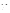### **IV. Application and Submission Information**

## **A. How to Obtain Application Package**.

The complete grants application package can be downloaded from EPA's website at: http://www.epa.gov/ogd/grants/how to apply.htm. Potential applicants may request a paper copy of the application package by contacting the agency contact listed in Section VII of this announcement.

# **B. Content and form of Application Submission**.

All proposals must contain one completed and signed federal grant application package, and a narrative workplan. The narrative workplan must explicitly describe the applicant's proposed project and specifically address how it meets each of the evaluation criteria. The narrative workplan may not exceed 15 pages in length. Applicants are strongly advised to avoid submission of extemporaneous materials. The maximum page length shall include any pieces that may be submitted by a third party (e.g., references or letters confirming commitments from third parties that will be contributing a portion of the required cost sharing). Pages exceeding the maximum length may not be considered.

Applicants must submit one original signature document and three copies of the completed federal grant application package and narrative workplan. All application materials must be completed in English.

- 1. A complete application must contain the following, in the sequential order shown:
	- a. SF-424 Application for Federal Assistance, with original signature.
	- b. Narrative Statement, in the format detailed below.
	- c. Other supporting documentation.
	- d. SF-424 A, Budget by categories and indirect cost rate.
	- e. SF-424 B, Assurances for non-construction programs.
	- f. Certification Regarding Lobbying and SF LLL, if applicable.
	- g. EPA Form 4700-4 Preaward Compliance review report.
	- h. Quality Assurance Plan for data collection.
	- i. Copy of Negotiated Indirect Cost Rate Agreement, if applicable.
	- j. Biographical Sketch.
	- k. E-mail address or self-addressed envelope (to receive notification of receipt of application).
- 2. The narrative statement should conform to the following outline:
	- a. Project Title.
	- b. Applicant Information. Include applicant (organization) name, address, contact person, phone number, fax and e-mail address.
	- c. Funding Requested. Specify the amount you are requesting from EPA.
	- d. Project period. Provide beginning and ending dates (for planning purposes, applicants should assume funds will be available in June 2005).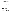- e. Narrative Workplan. Summarize the project and specifically explain how the project meets the criteria. Explain specifically what you plan to demonstrate in the project. This must also include how you expect to track and measure progress in meeting the performance measures and expected outcomes described in Section I.D.
- f. Qualifications. Summarize your technical experience and knowledge, language proficiency in Chinese and English, project management experience, and international experience. Demonstrate how your qualifications meet the criteria. Resume or CV may be attached at the end of the narrative (not to be included in 15 page limit).
- g. Leveraging of resources. Describe your ability to leverage funding for this project including any special measures to maximize cost effectiveness in implementing the project.
- 3. Detailed Itemized Budget. The proposal must include a detailed budget which clearly explains how funds will be used for the following categories:
	- Personnel
	- Fringe Benefits
	- Contractual Costs
	- Travel
	- Equipment
	- Supplies
	- Other
	- Total Direct Costs
	- Total Indirect Costs: must include documentation of accepted indirect rate
	- Total Cost
- 4. Reporting Requirements: Outline the process for developing quarterly updates (schedule to be established by EPA) and a detailed final report. The final report should include: summary of the project, specifications of technologies and fuel used, detailed description of the demonstration fleet, summary of emissions testing procedures and emissions reductions achieved, cost analyses, problems, successes, and lessons learned.
- **5.** Key Personnel. The applicant should submit an appendix with the resumes of key personnel who will be significantly involved in the project. (not to be included in 15 page limit)

#### **C. Submission Dates and Times.**

1. To allow for efficient management of the competitive process, EPA requests eligible organizations submit an informal notice of "Intent to Apply" by April 15, 2005. Submission of an Intent to Apply is optional; it is a process management tool that will allow EPA to better anticipate the total staff time required for efficient review, evaluation, and selection of submitted proposals. Eligible entities not submitting an Intent to Apply are still eligible to apply by the closing date.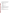2. The deadline for submission of the completed application packages is April 29, 2005, 5 p.m. EST. All application packages must be received in the program office listed below by the deadline. Applications received after the deadline will not be considered for funding.

Because of the unique situation involving U.S. mail screening in Washington, DC, EPA highly recommends that applicants use express mail to submit their applications. The application must be addressed to:

Express Delivery Address (FedEx, UPS, DHL, etc.) Sue Stendebach US EPA - Office of Transportation and Air Quality 1310 L St., NW Room 308 Washington DC 20005 Phone: 202-343-9532

Regular Mail Delivery Address (U.S. Postal Service) Sue Stendebach US EPA - Office of Transportation and Air Quality Mail Code 6405J 1200 Pennsylvania Avenue, NW Washington, DC 20460

**D. Confidential Business Information**. In accordancae with 40 CFR 2.203, applicants may claim all or a portion of their application/proposal as confidential business information. EPA will evaluate confidentiality claims in accordance with 40 CFR Part 2. Applicants must clearly mark applications/proposals or portions of applications/proposals they claim as confidential. If no claim of confidentiality is made, EPA is not required to make the inquiry to the applicant otherwise required by 40 CFR 2.204(c)(2) prior to disclosure.

### **V. Application Review Information**

### **A. Evaluation Criteria**

Each eligible application will be evaluated according to the criteria set forth below. Applications which are best able to directly and explicitly address these criteria will have a greater likelihood of being selected for award. Each application will be rated under a points system, with a total of 100 points possible.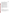| <b>Manage</b>         |
|-----------------------|
| manager               |
| technolo              |
| quality in            |
| that may              |
| any othe              |
| <b>Demons</b>         |
| project p             |
| project w             |
| organiza<br>including |
| technical             |
| plan to ti            |
| identified            |
| progress              |
| the anno              |
| <b>Internat</b>       |
| Beijing,              |
| experien              |
| clean fue             |
| and Engl              |
| <b>Cost Eff</b>       |
| per insta             |
| emission              |
| describe              |
| descripti             |
| impleme               |
|                       |
|                       |
| <b>B.</b> Other       |
|                       |
| None                  |
|                       |
| <b>Revie</b>          |
|                       |
| Each app              |
| air qualit            |
| Beijing.              |
| in this no            |
| to an App             |
|                       |
| The Offic             |
| complete              |
|                       |

Г

| Criteria                                                                                                                                                                                                                                                                                                                                                                                                                                                                                                                                                                                                                                                                                               | <b>Maximum</b><br>Points per<br><b>Criterion</b> |
|--------------------------------------------------------------------------------------------------------------------------------------------------------------------------------------------------------------------------------------------------------------------------------------------------------------------------------------------------------------------------------------------------------------------------------------------------------------------------------------------------------------------------------------------------------------------------------------------------------------------------------------------------------------------------------------------------------|--------------------------------------------------|
| Management Experience, Technical Experience and Knowledge: Describe your<br>management experience, technical experience and knowledge involving retrofit<br>technologies, diesel vehicles, emissions testing, fuel production and delivery, air                                                                                                                                                                                                                                                                                                                                                                                                                                                        |                                                  |
| quality improvement measures, environmental regulations, and any other elements<br>that may be relevant to this project. Describe prior and/or current experience with<br>any other air quality improvement or transportation projects.                                                                                                                                                                                                                                                                                                                                                                                                                                                                | 25                                               |
| <b>Demonstration Plan:</b> The demonstration should be done in collaboration with                                                                                                                                                                                                                                                                                                                                                                                                                                                                                                                                                                                                                      |                                                  |
| project partners, who may be based in China and/or the U.S Describe how your<br>project would be managed, including partnerships with key Chinese and U.S.<br>organizations and your plan for carrying out the demonstration project in Beijing,<br>including a timeline for each phase of the project. Describe your plan to build the<br>technical capacity of Beijing to undertake future retrofit programs. Describe your<br>plan to track and measure progress toward achieving the expected outcomes<br>identified in Section I.D. Also describe your plan for tracking and measuring<br>progress toward achieving expected outputs and outcomes identified in Section 1 of<br>the announcement. | 35                                               |
| International Experience: Describe your experience in China, particularly in<br>Beijing, or other relevant international experience. Describe any international<br>experience that demonstrates a commitment to support policies and programs for<br>clean fuel and vehicles. Describe your level of language proficiency in both Chinese<br>and English – verbal and written.                                                                                                                                                                                                                                                                                                                         | 20                                               |
| Cost Effectiveness: Provide an itemized budget. We will evaluate the estimated cost<br>per installed retrofit, the incremental costs of low sulfur diesel fuel per gallon,<br>emissions testing costs per vehicle, and administrative costs. Applicants should<br>describe their ability to leverage total funding for the project, including a detailed<br>description of any special measures proposed to maximize cost effectiveness in<br>implementing the project.                                                                                                                                                                                                                                | 20                                               |

# **Factors.**

# **Example 20 and Selection Process.**

blication will be evaluated by a team chosen to address a full range of transportation ty matters, including a representative of SEPA and/or the local government of The Evaluation Team will base its evaluation solely on the selection criteria disclosed in this notice (see *Section V(A), Evaluation Criteria*). Completed evaluations will be referred proving Official for further consideration and final selection.

ce of Transportation and Air Quality, and the Office of International Affairs expect to the Evaluation / Selection process by May 16, 2005.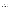## **VI. Award Administration Information**

## **A. Award Notices**

Following final selections, all applicants will be notified regarding their application's status.

- 1. EPA anticipates notification to *successful* applicant(s) will be made, via telephone, electronic or postal mail, by May 23, 2005. This notification, which advises that the applicant's proposal has been selected and is being recommended for award, is not an authorization to begin performance. The award notice signed by the EPA grants officer is the authorizing document and will be provided through postal mail. This process can take up to 90 days from the date of selection.
- 2. EPA anticipates notification to *unsuccessful* applicant(s) will be made via electronic or postal mail, by May 27, 2005. In either event, the notification will be sent to the original signer of the application.

# **B. Administrative and National Policy Requirements**

- 1. A listing and description of general EPA Regulations applicable to the award of assistance agreements may be viewed at: [http://www.epa.gov/ogd/AppKit/applicable\\_epa\\_regulations\\_and\\_description.htm.](http://www.epa.gov/ogd/AppKit/applicable_epa_regulations_and_description.htm)
- 2. Executive Order 12372, Intergovernmental Review of Federal Programs may be applicable to awards resulting from this announcement. Applicants *selected* for funding may be required to provide a copy of their proposal to their [State Point of](http://www.whitehouse.gov/omb/grants/spoc.html)  [Contact \(](http://www.whitehouse.gov/omb/grants/spoc.html)SPOC) for review, pursuant with Executive Order 12372, Intergovernmental Review of Federal Programs. This review is not required of initial applications and not all states require such a review.
- 3. All applicants are required to provide a Dun and Bradstreet (D&B) Data Universal Numbering System (DUNS) number when applyng for a Federal grant or cooperative agreement. Applicants can receive a DUNS number, at no cost, by calling the dedicated toll-free DUNS number request line at 1-866-705-5711, or visiting the D&B website at:<http://www.dnb.com>